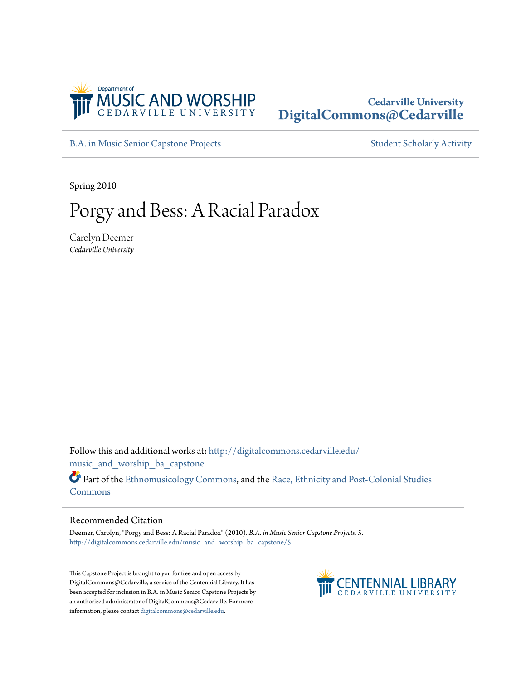

## **Cedarville University [DigitalCommons@Cedarville](http://digitalcommons.cedarville.edu?utm_source=digitalcommons.cedarville.edu%2Fmusic_and_worship_ba_capstone%2F5&utm_medium=PDF&utm_campaign=PDFCoverPages)**

[B.A. in Music Senior Capstone Projects](http://digitalcommons.cedarville.edu/music_and_worship_ba_capstone?utm_source=digitalcommons.cedarville.edu%2Fmusic_and_worship_ba_capstone%2F5&utm_medium=PDF&utm_campaign=PDFCoverPages) [Student Scholarly Activity](http://digitalcommons.cedarville.edu/music_student_scholarly_activity?utm_source=digitalcommons.cedarville.edu%2Fmusic_and_worship_ba_capstone%2F5&utm_medium=PDF&utm_campaign=PDFCoverPages)

Spring 2010

# Porgy and Bess: A Racial Paradox

Carolyn Deemer *Cedarville University*

Follow this and additional works at: [http://digitalcommons.cedarville.edu/](http://digitalcommons.cedarville.edu/music_and_worship_ba_capstone?utm_source=digitalcommons.cedarville.edu%2Fmusic_and_worship_ba_capstone%2F5&utm_medium=PDF&utm_campaign=PDFCoverPages) music and worship ba capstone

Part of the [Ethnomusicology Commons,](http://network.bepress.com/hgg/discipline/520?utm_source=digitalcommons.cedarville.edu%2Fmusic_and_worship_ba_capstone%2F5&utm_medium=PDF&utm_campaign=PDFCoverPages) and the [Race, Ethnicity and Post-Colonial Studies](http://network.bepress.com/hgg/discipline/566?utm_source=digitalcommons.cedarville.edu%2Fmusic_and_worship_ba_capstone%2F5&utm_medium=PDF&utm_campaign=PDFCoverPages) [Commons](http://network.bepress.com/hgg/discipline/566?utm_source=digitalcommons.cedarville.edu%2Fmusic_and_worship_ba_capstone%2F5&utm_medium=PDF&utm_campaign=PDFCoverPages)

### Recommended Citation

Deemer, Carolyn, "Porgy and Bess: A Racial Paradox" (2010). *B.A. in Music Senior Capstone Projects*. 5. [http://digitalcommons.cedarville.edu/music\\_and\\_worship\\_ba\\_capstone/5](http://digitalcommons.cedarville.edu/music_and_worship_ba_capstone/5?utm_source=digitalcommons.cedarville.edu%2Fmusic_and_worship_ba_capstone%2F5&utm_medium=PDF&utm_campaign=PDFCoverPages)

This Capstone Project is brought to you for free and open access by DigitalCommons@Cedarville, a service of the Centennial Library. It has been accepted for inclusion in B.A. in Music Senior Capstone Projects by an authorized administrator of DigitalCommons@Cedarville. For more information, please contact [digitalcommons@cedarville.edu.](mailto:digitalcommons@cedarville.edu)

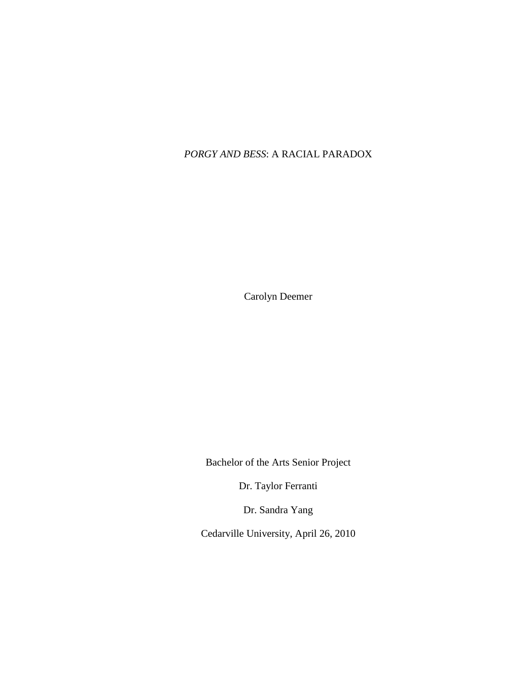## *PORGY AND BESS*: A RACIAL PARADOX

Carolyn Deemer

Bachelor of the Arts Senior Project

Dr. Taylor Ferranti

Dr. Sandra Yang

Cedarville University, April 26, 2010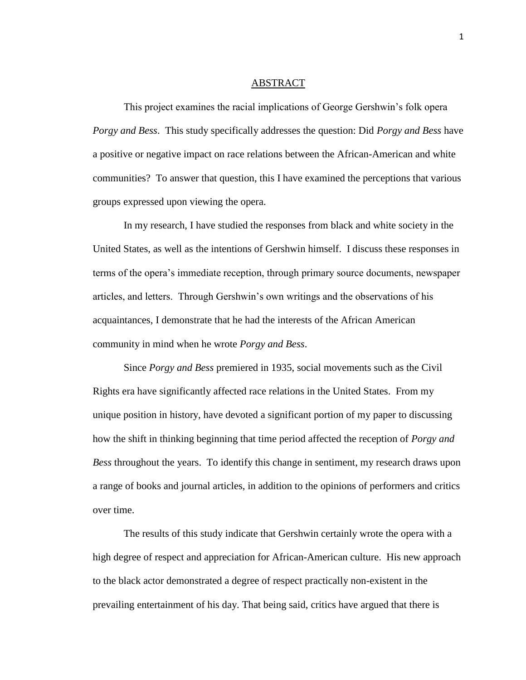#### ABSTRACT

This project examines the racial implications of George Gershwin"s folk opera *Porgy and Bess*. This study specifically addresses the question: Did *Porgy and Bess* have a positive or negative impact on race relations between the African-American and white communities? To answer that question, this I have examined the perceptions that various groups expressed upon viewing the opera.

In my research, I have studied the responses from black and white society in the United States, as well as the intentions of Gershwin himself. I discuss these responses in terms of the opera"s immediate reception, through primary source documents, newspaper articles, and letters. Through Gershwin"s own writings and the observations of his acquaintances, I demonstrate that he had the interests of the African American community in mind when he wrote *Porgy and Bess*.

Since *Porgy and Bess* premiered in 1935, social movements such as the Civil Rights era have significantly affected race relations in the United States. From my unique position in history, have devoted a significant portion of my paper to discussing how the shift in thinking beginning that time period affected the reception of *Porgy and Bess* throughout the years. To identify this change in sentiment, my research draws upon a range of books and journal articles, in addition to the opinions of performers and critics over time.

The results of this study indicate that Gershwin certainly wrote the opera with a high degree of respect and appreciation for African-American culture. His new approach to the black actor demonstrated a degree of respect practically non-existent in the prevailing entertainment of his day. That being said, critics have argued that there is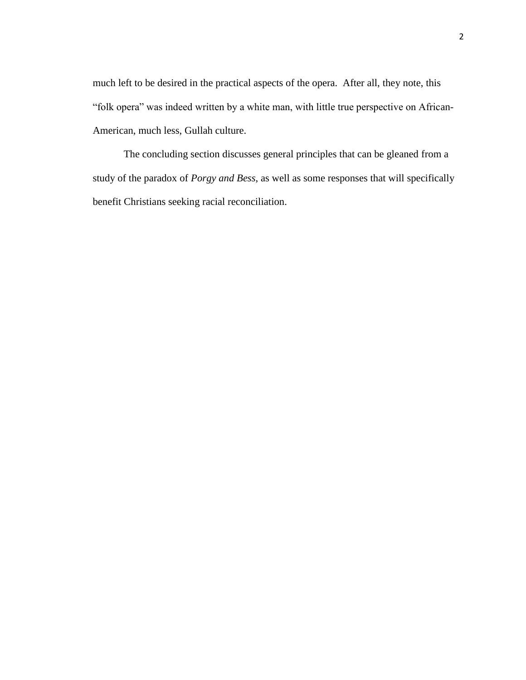much left to be desired in the practical aspects of the opera. After all, they note, this "folk opera" was indeed written by a white man, with little true perspective on African-American, much less, Gullah culture.

The concluding section discusses general principles that can be gleaned from a study of the paradox of *Porgy and Bess*, as well as some responses that will specifically benefit Christians seeking racial reconciliation.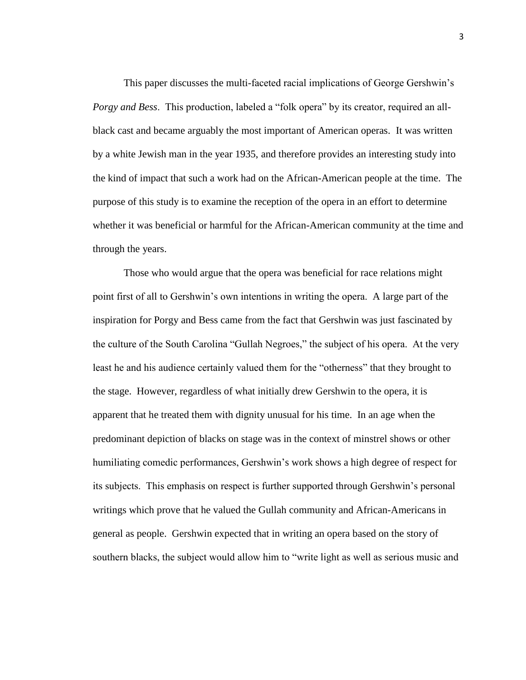This paper discusses the multi-faceted racial implications of George Gershwin"s *Porgy and Bess*. This production, labeled a "folk opera" by its creator, required an allblack cast and became arguably the most important of American operas. It was written by a white Jewish man in the year 1935, and therefore provides an interesting study into the kind of impact that such a work had on the African-American people at the time. The purpose of this study is to examine the reception of the opera in an effort to determine whether it was beneficial or harmful for the African-American community at the time and through the years.

Those who would argue that the opera was beneficial for race relations might point first of all to Gershwin"s own intentions in writing the opera. A large part of the inspiration for Porgy and Bess came from the fact that Gershwin was just fascinated by the culture of the South Carolina "Gullah Negroes," the subject of his opera. At the very least he and his audience certainly valued them for the "otherness" that they brought to the stage. However, regardless of what initially drew Gershwin to the opera, it is apparent that he treated them with dignity unusual for his time. In an age when the predominant depiction of blacks on stage was in the context of minstrel shows or other humiliating comedic performances, Gershwin's work shows a high degree of respect for its subjects. This emphasis on respect is further supported through Gershwin"s personal writings which prove that he valued the Gullah community and African-Americans in general as people. Gershwin expected that in writing an opera based on the story of southern blacks, the subject would allow him to "write light as well as serious music and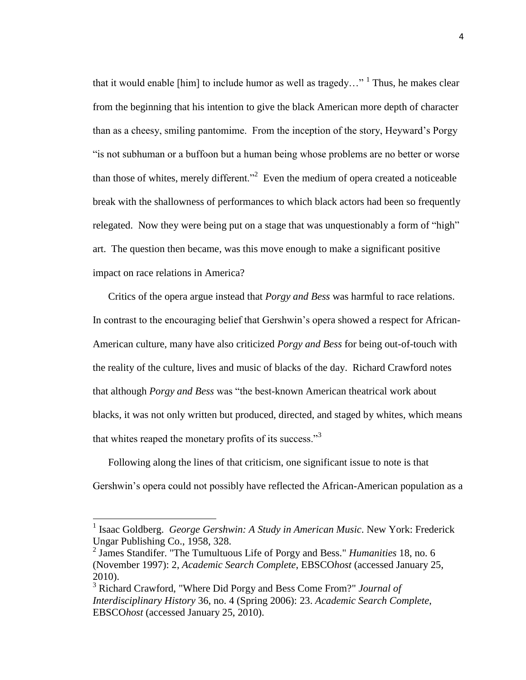that it would enable [him] to include humor as well as tragedy..." <sup>1</sup> Thus, he makes clear from the beginning that his intention to give the black American more depth of character than as a cheesy, smiling pantomime. From the inception of the story, Heyward"s Porgy "is not subhuman or a buffoon but a human being whose problems are no better or worse than those of whites, merely different.<sup>22</sup> Even the medium of opera created a noticeable break with the shallowness of performances to which black actors had been so frequently relegated. Now they were being put on a stage that was unquestionably a form of "high" art. The question then became, was this move enough to make a significant positive impact on race relations in America?

Critics of the opera argue instead that *Porgy and Bess* was harmful to race relations. In contrast to the encouraging belief that Gershwin"s opera showed a respect for African-American culture, many have also criticized *Porgy and Bess* for being out-of-touch with the reality of the culture, lives and music of blacks of the day. Richard Crawford notes that although *Porgy and Bess* was "the best-known American theatrical work about blacks, it was not only written but produced, directed, and staged by whites, which means that whites reaped the monetary profits of its success."<sup>3</sup>

Following along the lines of that criticism, one significant issue to note is that Gershwin"s opera could not possibly have reflected the African-American population as a

<sup>&</sup>lt;sup>1</sup> Isaac Goldberg. *George Gershwin: A Study in American Music*. New York: Frederick Ungar Publishing Co., 1958, 328.

<sup>2</sup> James Standifer. "The Tumultuous Life of Porgy and Bess." *Humanities* 18, no. 6 (November 1997): 2, *Academic Search Complete*, EBSCO*host* (accessed January 25, 2010).

<sup>3</sup> Richard Crawford, "Where Did Porgy and Bess Come From?" *Journal of Interdisciplinary History* 36, no. 4 (Spring 2006): 23. *Academic Search Complete*, EBSCO*host* (accessed January 25, 2010).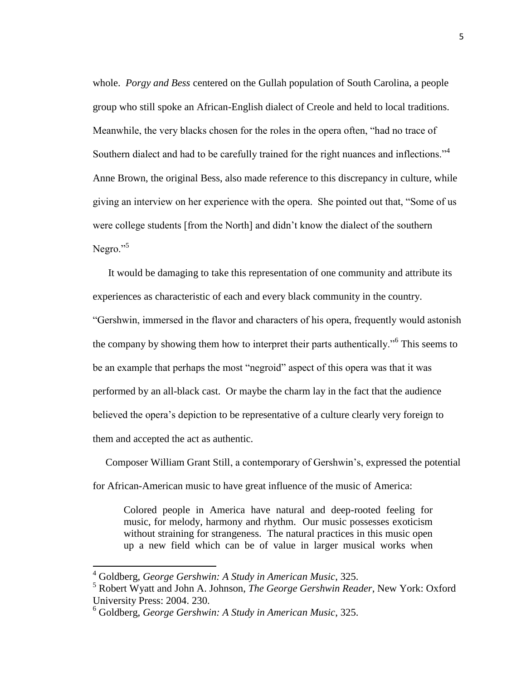whole. *Porgy and Bess* centered on the Gullah population of South Carolina, a people group who still spoke an African-English dialect of Creole and held to local traditions. Meanwhile, the very blacks chosen for the roles in the opera often, "had no trace of Southern dialect and had to be carefully trained for the right nuances and inflections."<sup>4</sup> Anne Brown, the original Bess, also made reference to this discrepancy in culture, while giving an interview on her experience with the opera. She pointed out that, "Some of us were college students [from the North] and didn"t know the dialect of the southern Negro."<sup>5</sup>

It would be damaging to take this representation of one community and attribute its experiences as characteristic of each and every black community in the country. "Gershwin, immersed in the flavor and characters of his opera, frequently would astonish the company by showing them how to interpret their parts authentically."<sup>6</sup> This seems to be an example that perhaps the most "negroid" aspect of this opera was that it was performed by an all-black cast. Or maybe the charm lay in the fact that the audience believed the opera's depiction to be representative of a culture clearly very foreign to them and accepted the act as authentic.

 Composer William Grant Still, a contemporary of Gershwin"s, expressed the potential for African-American music to have great influence of the music of America:

Colored people in America have natural and deep-rooted feeling for music, for melody, harmony and rhythm. Our music possesses exoticism without straining for strangeness. The natural practices in this music open up a new field which can be of value in larger musical works when

 $\overline{a}$ 

<sup>4</sup> Goldberg, *George Gershwin: A Study in American Music*, 325.

<sup>5</sup> Robert Wyatt and John A. Johnson, *The George Gershwin Reader*, New York: Oxford University Press: 2004. 230.

<sup>6</sup> Goldberg, *George Gershwin: A Study in American Music*, 325.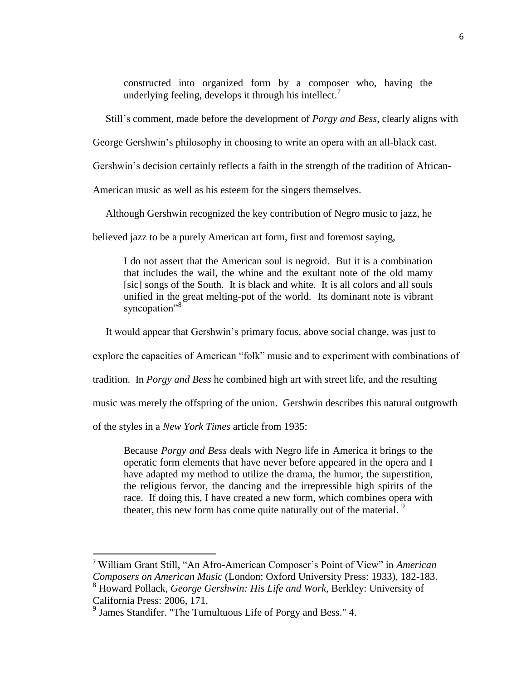constructed into organized form by a composer who, having the underlying feeling, develops it through his intellect.<sup>7</sup>

Still"s comment, made before the development of *Porgy and Bess*, clearly aligns with

George Gershwin"s philosophy in choosing to write an opera with an all-black cast.

Gershwin"s decision certainly reflects a faith in the strength of the tradition of African-

American music as well as his esteem for the singers themselves.

Although Gershwin recognized the key contribution of Negro music to jazz, he

believed jazz to be a purely American art form, first and foremost saying,

I do not assert that the American soul is negroid. But it is a combination that includes the wail, the whine and the exultant note of the old mamy [sic] songs of the South. It is black and white. It is all colors and all souls unified in the great melting-pot of the world. Its dominant note is vibrant syncopation"<sup>8</sup>

It would appear that Gershwin"s primary focus, above social change, was just to

explore the capacities of American "folk" music and to experiment with combinations of

tradition. In *Porgy and Bess* he combined high art with street life, and the resulting

music was merely the offspring of the union. Gershwin describes this natural outgrowth

of the styles in a *New York Times* article from 1935:

l

Because *Porgy and Bess* deals with Negro life in America it brings to the operatic form elements that have never before appeared in the opera and I have adapted my method to utilize the drama, the humor, the superstition, the religious fervor, the dancing and the irrepressible high spirits of the race. If doing this, I have created a new form, which combines opera with theater, this new form has come quite naturally out of the material.<sup>9</sup>

<sup>7</sup> William Grant Still, "An Afro-American Composer"s Point of View" in *American Composers on American Music* (London: Oxford University Press: 1933), 182-183.

<sup>8</sup> Howard Pollack, *George Gershwin: His Life and Work*, Berkley: University of California Press: 2006, 171.

<sup>&</sup>lt;sup>9</sup> James Standifer. "The Tumultuous Life of Porgy and Bess." 4.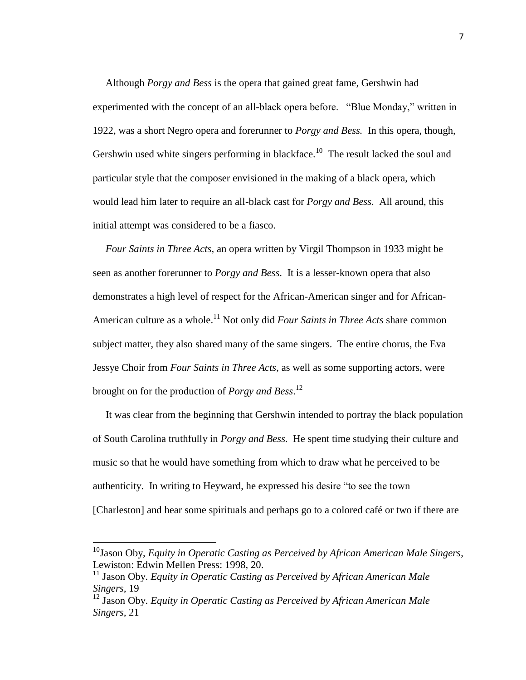Although *Porgy and Bess* is the opera that gained great fame, Gershwin had experimented with the concept of an all-black opera before. "Blue Monday," written in 1922, was a short Negro opera and forerunner to *Porgy and Bess.* In this opera, though, Gershwin used white singers performing in blackface.<sup>10</sup> The result lacked the soul and particular style that the composer envisioned in the making of a black opera, which would lead him later to require an all-black cast for *Porgy and Bess*. All around, this initial attempt was considered to be a fiasco.

 *Four Saints in Three Acts*, an opera written by Virgil Thompson in 1933 might be seen as another forerunner to *Porgy and Bess*. It is a lesser-known opera that also demonstrates a high level of respect for the African-American singer and for African-American culture as a whole.<sup>11</sup> Not only did *Four Saints in Three Acts* share common subject matter, they also shared many of the same singers. The entire chorus, the Eva Jessye Choir from *Four Saints in Three Acts*, as well as some supporting actors, were brought on for the production of *Porgy and Bess*. 12

 It was clear from the beginning that Gershwin intended to portray the black population of South Carolina truthfully in *Porgy and Bess*. He spent time studying their culture and music so that he would have something from which to draw what he perceived to be authenticity. In writing to Heyward, he expressed his desire "to see the town [Charleston] and hear some spirituals and perhaps go to a colored café or two if there are

<sup>10</sup>Jason Oby, *Equity in Operatic Casting as Perceived by African American Male Singers*, Lewiston: Edwin Mellen Press: 1998, 20.

<sup>&</sup>lt;sup>11</sup> Jason Oby. *Equity in Operatic Casting as Perceived by African American Male Singers,* 19

<sup>12</sup> Jason Oby. *Equity in Operatic Casting as Perceived by African American Male Singers,* 21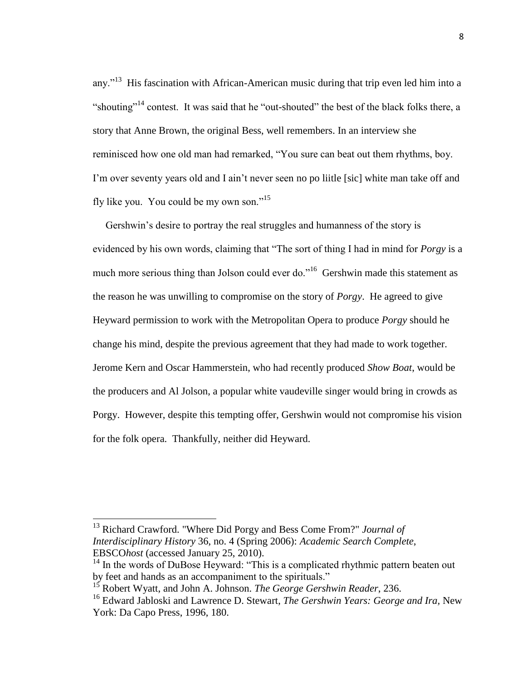any."<sup>13</sup> His fascination with African-American music during that trip even led him into a "shouting"<sup>14</sup> contest. It was said that he "out-shouted" the best of the black folks there, a story that Anne Brown, the original Bess, well remembers. In an interview she reminisced how one old man had remarked, "You sure can beat out them rhythms, boy. I'm over seventy years old and I ain't never seen no po liitle [sic] white man take off and fly like you. You could be my own son."<sup>15</sup>

 Gershwin"s desire to portray the real struggles and humanness of the story is evidenced by his own words, claiming that "The sort of thing I had in mind for *Porgy* is a much more serious thing than Jolson could ever do."<sup>16</sup> Gershwin made this statement as the reason he was unwilling to compromise on the story of *Porgy*. He agreed to give Heyward permission to work with the Metropolitan Opera to produce *Porgy* should he change his mind, despite the previous agreement that they had made to work together. Jerome Kern and Oscar Hammerstein, who had recently produced *Show Boat*, would be the producers and Al Jolson, a popular white vaudeville singer would bring in crowds as Porgy. However, despite this tempting offer, Gershwin would not compromise his vision for the folk opera. Thankfully, neither did Heyward.

<sup>13</sup> Richard Crawford. "Where Did Porgy and Bess Come From?" *Journal of Interdisciplinary History* 36, no. 4 (Spring 2006): *Academic Search Complete*, EBSCO*host* (accessed January 25, 2010).

 $14$  In the words of DuBose Heyward: "This is a complicated rhythmic pattern beaten out by feet and hands as an accompaniment to the spirituals."

<sup>15</sup> Robert Wyatt, and John A. Johnson. *The George Gershwin Reader*, 236.

<sup>16</sup> Edward Jabloski and Lawrence D. Stewart, *The Gershwin Years: George and Ira,* New York: Da Capo Press, 1996, 180.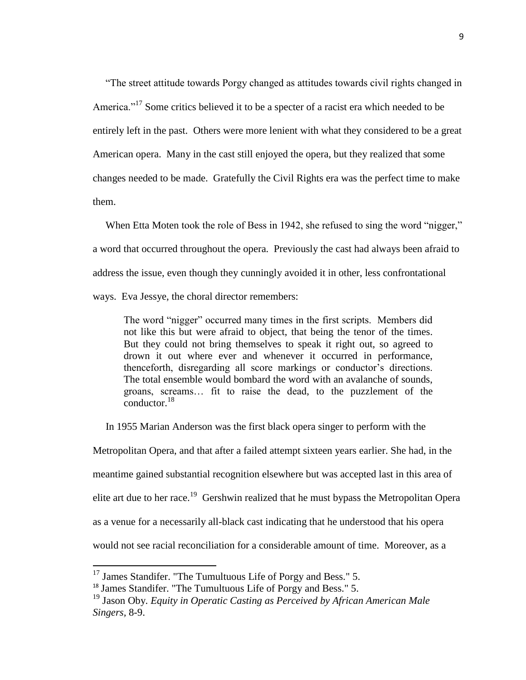"The street attitude towards Porgy changed as attitudes towards civil rights changed in America."<sup>17</sup> Some critics believed it to be a specter of a racist era which needed to be entirely left in the past. Others were more lenient with what they considered to be a great American opera. Many in the cast still enjoyed the opera, but they realized that some changes needed to be made. Gratefully the Civil Rights era was the perfect time to make them.

When Etta Moten took the role of Bess in 1942, she refused to sing the word "nigger," a word that occurred throughout the opera. Previously the cast had always been afraid to address the issue, even though they cunningly avoided it in other, less confrontational ways. Eva Jessye, the choral director remembers:

The word "nigger" occurred many times in the first scripts. Members did not like this but were afraid to object, that being the tenor of the times. But they could not bring themselves to speak it right out, so agreed to drown it out where ever and whenever it occurred in performance, thenceforth, disregarding all score markings or conductor's directions. The total ensemble would bombard the word with an avalanche of sounds, groans, screams… fit to raise the dead, to the puzzlement of the  $\frac{18}{2}$ 

In 1955 Marian Anderson was the first black opera singer to perform with the

Metropolitan Opera, and that after a failed attempt sixteen years earlier. She had, in the meantime gained substantial recognition elsewhere but was accepted last in this area of elite art due to her race.<sup>19</sup> Gershwin realized that he must bypass the Metropolitan Opera as a venue for a necessarily all-black cast indicating that he understood that his opera would not see racial reconciliation for a considerable amount of time. Moreover, as a

 $\overline{a}$ 

 $17$  James Standifer. "The Tumultuous Life of Porgy and Bess." 5.

<sup>&</sup>lt;sup>18</sup> James Standifer. "The Tumultuous Life of Porgy and Bess." 5.

<sup>19</sup> Jason Oby. *Equity in Operatic Casting as Perceived by African American Male Singers,* 8-9.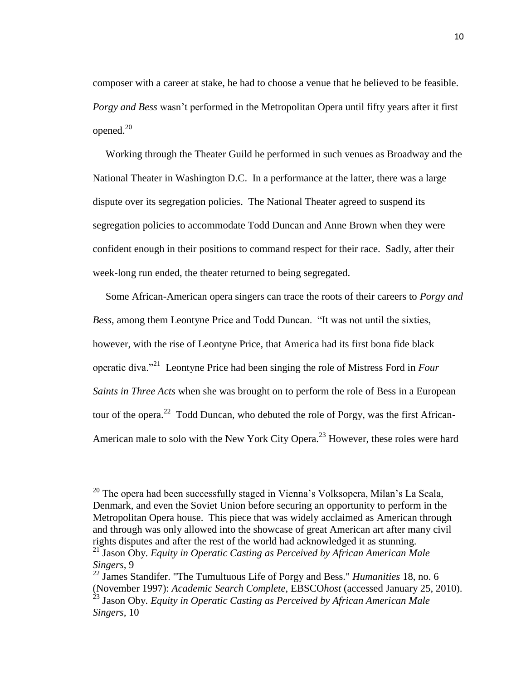composer with a career at stake, he had to choose a venue that he believed to be feasible. *Porgy and Bess* wasn"t performed in the Metropolitan Opera until fifty years after it first opened. $20$ 

 Working through the Theater Guild he performed in such venues as Broadway and the National Theater in Washington D.C. In a performance at the latter, there was a large dispute over its segregation policies. The National Theater agreed to suspend its segregation policies to accommodate Todd Duncan and Anne Brown when they were confident enough in their positions to command respect for their race. Sadly, after their week-long run ended, the theater returned to being segregated.

 Some African-American opera singers can trace the roots of their careers to *Porgy and Bess*, among them Leontyne Price and Todd Duncan. "It was not until the sixties, however, with the rise of Leontyne Price, that America had its first bona fide black operatic diva."<sup>21</sup> Leontyne Price had been singing the role of Mistress Ford in *Four Saints in Three Acts* when she was brought on to perform the role of Bess in a European tour of the opera.<sup>22</sup> Todd Duncan, who debuted the role of Porgy, was the first African-American male to solo with the New York City Opera.<sup>23</sup> However, these roles were hard

l

 $20$  The opera had been successfully staged in Vienna's Volksopera, Milan's La Scala, Denmark, and even the Soviet Union before securing an opportunity to perform in the Metropolitan Opera house. This piece that was widely acclaimed as American through and through was only allowed into the showcase of great American art after many civil rights disputes and after the rest of the world had acknowledged it as stunning.

<sup>21</sup> Jason Oby. *Equity in Operatic Casting as Perceived by African American Male Singers,* 9

<sup>22</sup> James Standifer. "The Tumultuous Life of Porgy and Bess." *Humanities* 18, no. 6 (November 1997): *Academic Search Complete*, EBSCO*host* (accessed January 25, 2010). <sup>23</sup> Jason Oby. *Equity in Operatic Casting as Perceived by African American Male Singers,* 10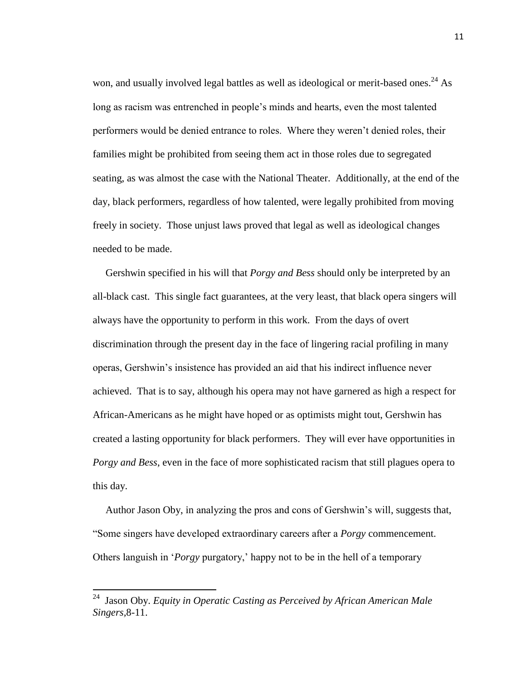won, and usually involved legal battles as well as ideological or merit-based ones.<sup>24</sup> As long as racism was entrenched in people"s minds and hearts, even the most talented performers would be denied entrance to roles. Where they weren"t denied roles, their families might be prohibited from seeing them act in those roles due to segregated seating, as was almost the case with the National Theater. Additionally, at the end of the day, black performers, regardless of how talented, were legally prohibited from moving freely in society. Those unjust laws proved that legal as well as ideological changes needed to be made.

 Gershwin specified in his will that *Porgy and Bess* should only be interpreted by an all-black cast. This single fact guarantees, at the very least, that black opera singers will always have the opportunity to perform in this work. From the days of overt discrimination through the present day in the face of lingering racial profiling in many operas, Gershwin"s insistence has provided an aid that his indirect influence never achieved. That is to say, although his opera may not have garnered as high a respect for African-Americans as he might have hoped or as optimists might tout, Gershwin has created a lasting opportunity for black performers. They will ever have opportunities in *Porgy and Bess*, even in the face of more sophisticated racism that still plagues opera to this day.

 Author Jason Oby, in analyzing the pros and cons of Gershwin"s will, suggests that, "Some singers have developed extraordinary careers after a *Porgy* commencement. Others languish in "*Porgy* purgatory," happy not to be in the hell of a temporary

 24 Jason Oby. *Equity in Operatic Casting as Perceived by African American Male Singers,*8-11.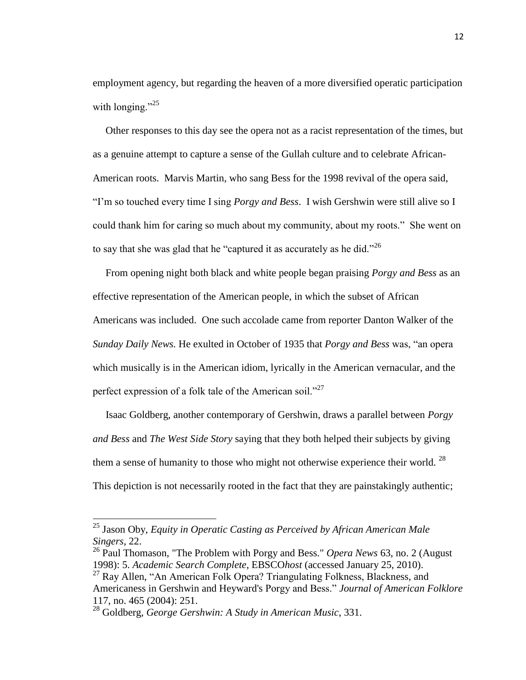employment agency, but regarding the heaven of a more diversified operatic participation with longing." $25$ 

 Other responses to this day see the opera not as a racist representation of the times, but as a genuine attempt to capture a sense of the Gullah culture and to celebrate African-American roots. Marvis Martin, who sang Bess for the 1998 revival of the opera said, "I"m so touched every time I sing *Porgy and Bess*. I wish Gershwin were still alive so I could thank him for caring so much about my community, about my roots." She went on to say that she was glad that he "captured it as accurately as he did."<sup>26</sup>

 From opening night both black and white people began praising *Porgy and Bess* as an effective representation of the American people, in which the subset of African Americans was included. One such accolade came from reporter Danton Walker of the *Sunday Daily News.* He exulted in October of 1935 that *Porgy and Bess* was, "an opera which musically is in the American idiom, lyrically in the American vernacular, and the perfect expression of a folk tale of the American soil."<sup>27</sup>

 Isaac Goldberg, another contemporary of Gershwin, draws a parallel between *Porgy and Bess* and *The West Side Story* saying that they both helped their subjects by giving them a sense of humanity to those who might not otherwise experience their world.  $^{28}$ This depiction is not necessarily rooted in the fact that they are painstakingly authentic;

<sup>25</sup> Jason Oby, *Equity in Operatic Casting as Perceived by African American Male Singers,* 22.

<sup>26</sup> Paul Thomason, "The Problem with Porgy and Bess." *Opera News* 63, no. 2 (August 1998): 5. *Academic Search Complete*, EBSCO*host* (accessed January 25, 2010).

<sup>&</sup>lt;sup>27</sup> Ray Allen, "An American Folk Opera? Triangulating Folkness, Blackness, and Americaness in Gershwin and Heyward's Porgy and Bess." *Journal of American Folklore* 117, no. 465 (2004): 251.

<sup>28</sup> Goldberg, *George Gershwin: A Study in American Music*, 331.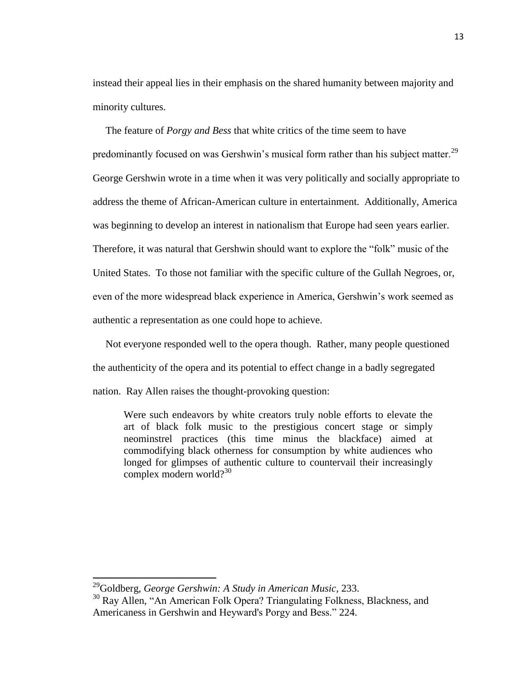instead their appeal lies in their emphasis on the shared humanity between majority and minority cultures.

 The feature of *Porgy and Bess* that white critics of the time seem to have predominantly focused on was Gershwin's musical form rather than his subject matter. $^{29}$ George Gershwin wrote in a time when it was very politically and socially appropriate to address the theme of African-American culture in entertainment. Additionally, America was beginning to develop an interest in nationalism that Europe had seen years earlier. Therefore, it was natural that Gershwin should want to explore the "folk" music of the United States. To those not familiar with the specific culture of the Gullah Negroes, or, even of the more widespread black experience in America, Gershwin"s work seemed as authentic a representation as one could hope to achieve.

 Not everyone responded well to the opera though. Rather, many people questioned the authenticity of the opera and its potential to effect change in a badly segregated nation. Ray Allen raises the thought-provoking question:

Were such endeavors by white creators truly noble efforts to elevate the art of black folk music to the prestigious concert stage or simply neominstrel practices (this time minus the blackface) aimed at commodifying black otherness for consumption by white audiences who longed for glimpses of authentic culture to countervail their increasingly complex modern world? $30$ 

<sup>29</sup>Goldberg, *George Gershwin: A Study in American Music,* 233.

<sup>&</sup>lt;sup>30</sup> Ray Allen, "An American Folk Opera? Triangulating Folkness, Blackness, and Americaness in Gershwin and Heyward's Porgy and Bess." 224.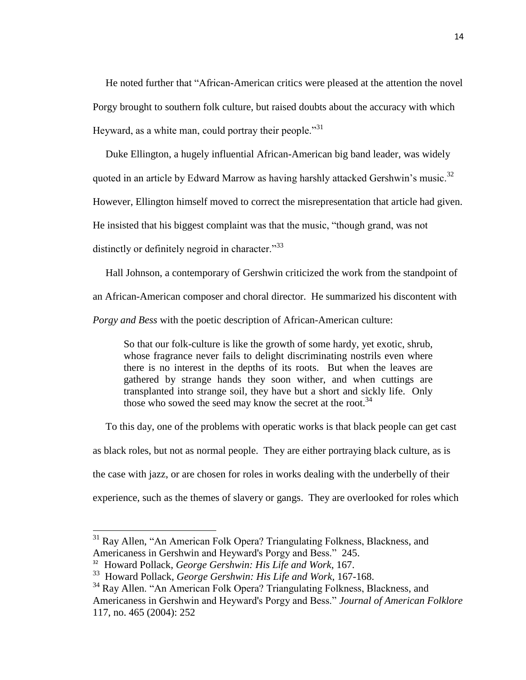He noted further that "African-American critics were pleased at the attention the novel Porgy brought to southern folk culture, but raised doubts about the accuracy with which Heyward, as a white man, could portray their people. $131$ 

 Duke Ellington, a hugely influential African-American big band leader, was widely quoted in an article by Edward Marrow as having harshly attacked Gershwin's music.<sup>32</sup> However, Ellington himself moved to correct the misrepresentation that article had given. He insisted that his biggest complaint was that the music, "though grand, was not distinctly or definitely negroid in character."<sup>33</sup>

Hall Johnson, a contemporary of Gershwin criticized the work from the standpoint of

an African-American composer and choral director. He summarized his discontent with

*Porgy and Bess* with the poetic description of African-American culture:

So that our folk-culture is like the growth of some hardy, yet exotic, shrub, whose fragrance never fails to delight discriminating nostrils even where there is no interest in the depths of its roots. But when the leaves are gathered by strange hands they soon wither, and when cuttings are transplanted into strange soil, they have but a short and sickly life. Only those who sowed the seed may know the secret at the root.<sup>34</sup>

 To this day, one of the problems with operatic works is that black people can get cast as black roles, but not as normal people. They are either portraying black culture, as is the case with jazz, or are chosen for roles in works dealing with the underbelly of their experience, such as the themes of slavery or gangs. They are overlooked for roles which

l

<sup>&</sup>lt;sup>31</sup> Ray Allen, "An American Folk Opera? Triangulating Folkness, Blackness, and Americaness in Gershwin and Heyward's Porgy and Bess." 245.

<sup>32</sup> Howard Pollack, *George Gershwin: His Life and Work*, 167.

<sup>33</sup> Howard Pollack, *George Gershwin: His Life and Work*, 167-168.

<sup>&</sup>lt;sup>34</sup> Ray Allen. "An American Folk Opera? Triangulating Folkness, Blackness, and Americaness in Gershwin and Heyward's Porgy and Bess." *Journal of American Folklore* 117, no. 465 (2004): 252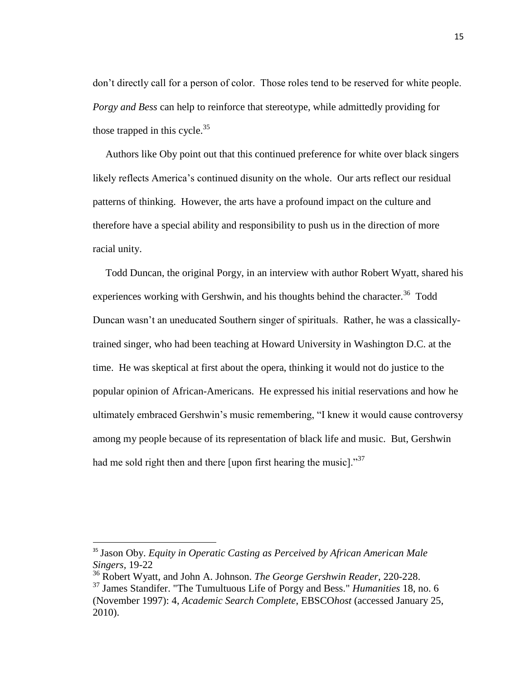don"t directly call for a person of color. Those roles tend to be reserved for white people. *Porgy and Bess* can help to reinforce that stereotype, while admittedly providing for those trapped in this cycle.<sup>35</sup>

 Authors like Oby point out that this continued preference for white over black singers likely reflects America"s continued disunity on the whole. Our arts reflect our residual patterns of thinking. However, the arts have a profound impact on the culture and therefore have a special ability and responsibility to push us in the direction of more racial unity.

 Todd Duncan, the original Porgy, in an interview with author Robert Wyatt, shared his experiences working with Gershwin, and his thoughts behind the character.<sup>36</sup> Todd Duncan wasn"t an uneducated Southern singer of spirituals. Rather, he was a classicallytrained singer, who had been teaching at Howard University in Washington D.C. at the time. He was skeptical at first about the opera, thinking it would not do justice to the popular opinion of African-Americans. He expressed his initial reservations and how he ultimately embraced Gershwin"s music remembering, "I knew it would cause controversy among my people because of its representation of black life and music. But, Gershwin had me sold right then and there [upon first hearing the music]."<sup>37</sup>

 $\overline{a}$ 

<sup>35</sup> Jason Oby. *Equity in Operatic Casting as Perceived by African American Male Singers,* 19-22

<sup>36</sup> Robert Wyatt, and John A. Johnson. *The George Gershwin Reader*, 220-228.

<sup>37</sup> James Standifer. "The Tumultuous Life of Porgy and Bess." *Humanities* 18, no. 6 (November 1997): 4, *Academic Search Complete*, EBSCO*host* (accessed January 25, 2010).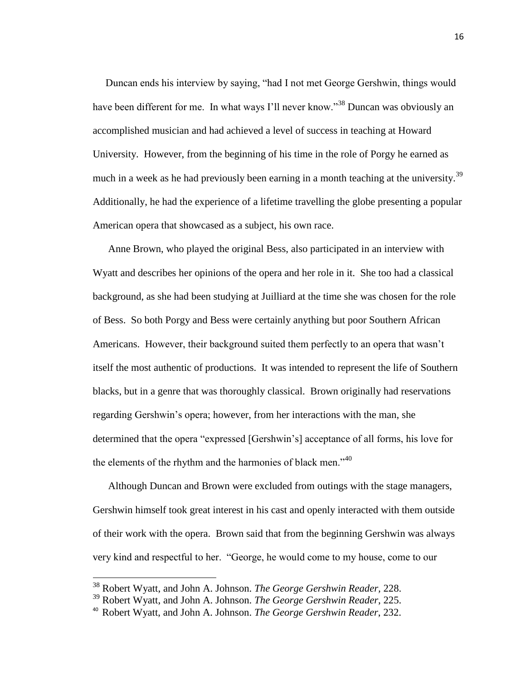Duncan ends his interview by saying, "had I not met George Gershwin, things would have been different for me. In what ways I'll never know."<sup>38</sup> Duncan was obviously an accomplished musician and had achieved a level of success in teaching at Howard University. However, from the beginning of his time in the role of Porgy he earned as much in a week as he had previously been earning in a month teaching at the university.<sup>39</sup> Additionally, he had the experience of a lifetime travelling the globe presenting a popular American opera that showcased as a subject, his own race.

Anne Brown, who played the original Bess, also participated in an interview with Wyatt and describes her opinions of the opera and her role in it. She too had a classical background, as she had been studying at Juilliard at the time she was chosen for the role of Bess. So both Porgy and Bess were certainly anything but poor Southern African Americans. However, their background suited them perfectly to an opera that wasn"t itself the most authentic of productions. It was intended to represent the life of Southern blacks, but in a genre that was thoroughly classical. Brown originally had reservations regarding Gershwin"s opera; however, from her interactions with the man, she determined that the opera "expressed [Gershwin"s] acceptance of all forms, his love for the elements of the rhythm and the harmonies of black men." $40$ 

Although Duncan and Brown were excluded from outings with the stage managers, Gershwin himself took great interest in his cast and openly interacted with them outside of their work with the opera. Brown said that from the beginning Gershwin was always very kind and respectful to her. "George, he would come to my house, come to our

<sup>38</sup> Robert Wyatt, and John A. Johnson. *The George Gershwin Reader,* 228.

<sup>39</sup> Robert Wyatt, and John A. Johnson. *The George Gershwin Reader*, 225.

<sup>40</sup> Robert Wyatt, and John A. Johnson. *The George Gershwin Reader*, 232.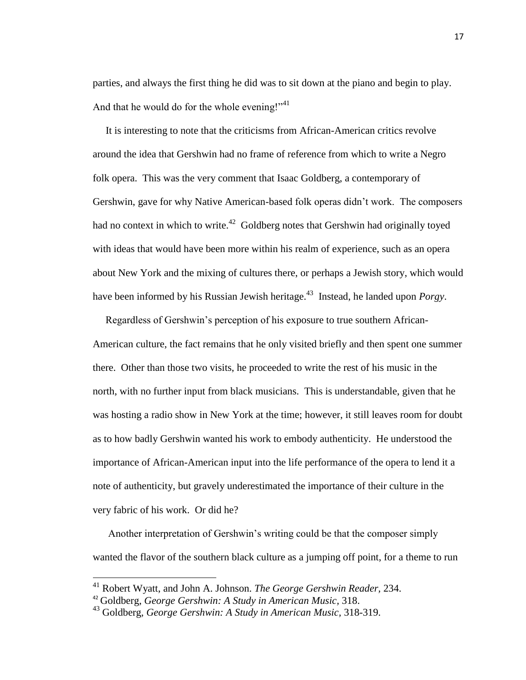parties, and always the first thing he did was to sit down at the piano and begin to play. And that he would do for the whole evening!" $41$ 

 It is interesting to note that the criticisms from African-American critics revolve around the idea that Gershwin had no frame of reference from which to write a Negro folk opera. This was the very comment that Isaac Goldberg, a contemporary of Gershwin, gave for why Native American-based folk operas didn"t work. The composers had no context in which to write.<sup>42</sup> Goldberg notes that Gershwin had originally toyed with ideas that would have been more within his realm of experience, such as an opera about New York and the mixing of cultures there, or perhaps a Jewish story, which would have been informed by his Russian Jewish heritage.<sup>43</sup> Instead, he landed upon *Porgy*.

 Regardless of Gershwin"s perception of his exposure to true southern African-American culture, the fact remains that he only visited briefly and then spent one summer there. Other than those two visits, he proceeded to write the rest of his music in the north, with no further input from black musicians. This is understandable, given that he was hosting a radio show in New York at the time; however, it still leaves room for doubt as to how badly Gershwin wanted his work to embody authenticity. He understood the importance of African-American input into the life performance of the opera to lend it a note of authenticity, but gravely underestimated the importance of their culture in the very fabric of his work. Or did he?

Another interpretation of Gershwin"s writing could be that the composer simply wanted the flavor of the southern black culture as a jumping off point, for a theme to run

<sup>41</sup> Robert Wyatt, and John A. Johnson. *The George Gershwin Reader,* 234.

<sup>42</sup> Goldberg, *George Gershwin: A Study in American Music,* 318.

<sup>43</sup> Goldberg, *George Gershwin: A Study in American Music,* 318-319.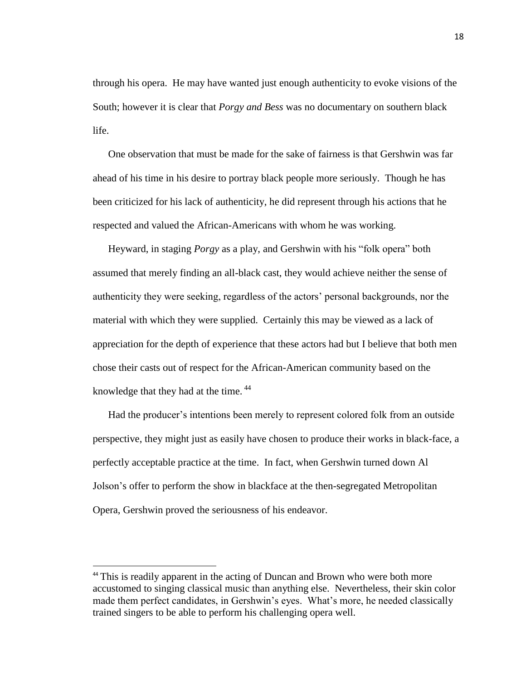through his opera. He may have wanted just enough authenticity to evoke visions of the South; however it is clear that *Porgy and Bess* was no documentary on southern black life.

One observation that must be made for the sake of fairness is that Gershwin was far ahead of his time in his desire to portray black people more seriously. Though he has been criticized for his lack of authenticity, he did represent through his actions that he respected and valued the African-Americans with whom he was working.

Heyward, in staging *Porgy* as a play, and Gershwin with his "folk opera" both assumed that merely finding an all-black cast, they would achieve neither the sense of authenticity they were seeking, regardless of the actors" personal backgrounds, nor the material with which they were supplied. Certainly this may be viewed as a lack of appreciation for the depth of experience that these actors had but I believe that both men chose their casts out of respect for the African-American community based on the knowledge that they had at the time.  $44$ 

Had the producer's intentions been merely to represent colored folk from an outside perspective, they might just as easily have chosen to produce their works in black-face, a perfectly acceptable practice at the time. In fact, when Gershwin turned down Al Jolson"s offer to perform the show in blackface at the then-segregated Metropolitan Opera, Gershwin proved the seriousness of his endeavor.

<sup>&</sup>lt;sup>44</sup> This is readily apparent in the acting of Duncan and Brown who were both more accustomed to singing classical music than anything else. Nevertheless, their skin color made them perfect candidates, in Gershwin's eyes. What's more, he needed classically trained singers to be able to perform his challenging opera well.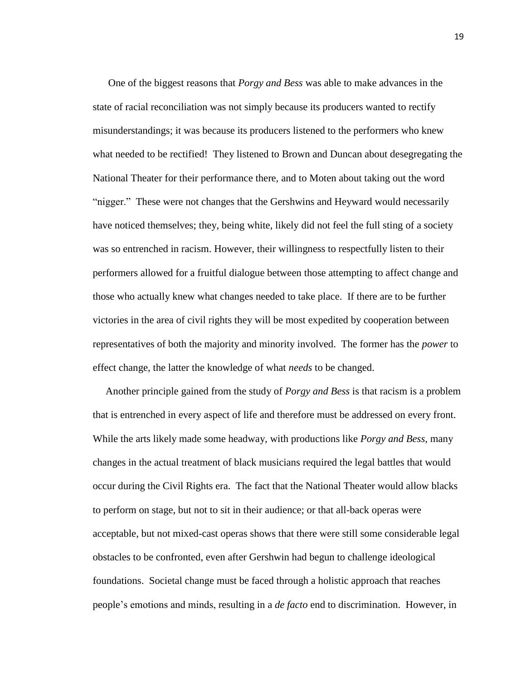One of the biggest reasons that *Porgy and Bess* was able to make advances in the state of racial reconciliation was not simply because its producers wanted to rectify misunderstandings; it was because its producers listened to the performers who knew what needed to be rectified! They listened to Brown and Duncan about desegregating the National Theater for their performance there, and to Moten about taking out the word "nigger." These were not changes that the Gershwins and Heyward would necessarily have noticed themselves; they, being white, likely did not feel the full sting of a society was so entrenched in racism. However, their willingness to respectfully listen to their performers allowed for a fruitful dialogue between those attempting to affect change and those who actually knew what changes needed to take place. If there are to be further victories in the area of civil rights they will be most expedited by cooperation between representatives of both the majority and minority involved. The former has the *power* to effect change, the latter the knowledge of what *needs* to be changed.

 Another principle gained from the study of *Porgy and Bess* is that racism is a problem that is entrenched in every aspect of life and therefore must be addressed on every front. While the arts likely made some headway, with productions like *Porgy and Bess*, many changes in the actual treatment of black musicians required the legal battles that would occur during the Civil Rights era. The fact that the National Theater would allow blacks to perform on stage, but not to sit in their audience; or that all-back operas were acceptable, but not mixed-cast operas shows that there were still some considerable legal obstacles to be confronted, even after Gershwin had begun to challenge ideological foundations. Societal change must be faced through a holistic approach that reaches people"s emotions and minds, resulting in a *de facto* end to discrimination. However, in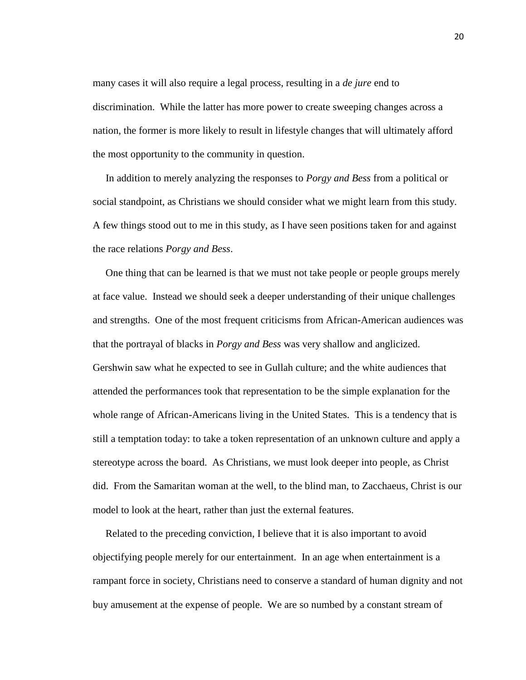many cases it will also require a legal process, resulting in a *de jure* end to discrimination. While the latter has more power to create sweeping changes across a nation, the former is more likely to result in lifestyle changes that will ultimately afford the most opportunity to the community in question.

 In addition to merely analyzing the responses to *Porgy and Bess* from a political or social standpoint, as Christians we should consider what we might learn from this study. A few things stood out to me in this study, as I have seen positions taken for and against the race relations *Porgy and Bess*.

 One thing that can be learned is that we must not take people or people groups merely at face value. Instead we should seek a deeper understanding of their unique challenges and strengths. One of the most frequent criticisms from African-American audiences was that the portrayal of blacks in *Porgy and Bess* was very shallow and anglicized. Gershwin saw what he expected to see in Gullah culture; and the white audiences that attended the performances took that representation to be the simple explanation for the whole range of African-Americans living in the United States. This is a tendency that is still a temptation today: to take a token representation of an unknown culture and apply a stereotype across the board. As Christians, we must look deeper into people, as Christ did. From the Samaritan woman at the well, to the blind man, to Zacchaeus, Christ is our model to look at the heart, rather than just the external features.

 Related to the preceding conviction, I believe that it is also important to avoid objectifying people merely for our entertainment. In an age when entertainment is a rampant force in society, Christians need to conserve a standard of human dignity and not buy amusement at the expense of people. We are so numbed by a constant stream of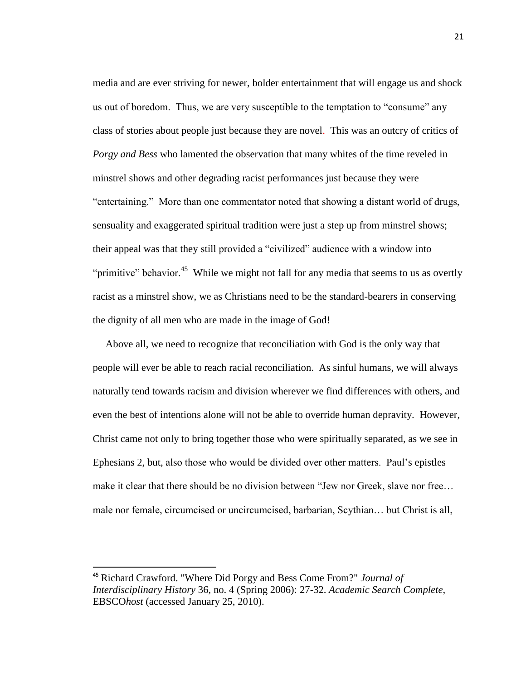media and are ever striving for newer, bolder entertainment that will engage us and shock us out of boredom. Thus, we are very susceptible to the temptation to "consume" any class of stories about people just because they are novel. This was an outcry of critics of *Porgy and Bess* who lamented the observation that many whites of the time reveled in minstrel shows and other degrading racist performances just because they were "entertaining." More than one commentator noted that showing a distant world of drugs, sensuality and exaggerated spiritual tradition were just a step up from minstrel shows; their appeal was that they still provided a "civilized" audience with a window into "primitive" behavior.<sup>45</sup> While we might not fall for any media that seems to us as overtly racist as a minstrel show, we as Christians need to be the standard-bearers in conserving the dignity of all men who are made in the image of God!

 Above all, we need to recognize that reconciliation with God is the only way that people will ever be able to reach racial reconciliation. As sinful humans, we will always naturally tend towards racism and division wherever we find differences with others, and even the best of intentions alone will not be able to override human depravity. However, Christ came not only to bring together those who were spiritually separated, as we see in Ephesians 2, but, also those who would be divided over other matters. Paul"s epistles make it clear that there should be no division between "Jew nor Greek, slave nor free… male nor female, circumcised or uncircumcised, barbarian, Scythian… but Christ is all,

l

<sup>45</sup> Richard Crawford. "Where Did Porgy and Bess Come From?" *Journal of Interdisciplinary History* 36, no. 4 (Spring 2006): 27-32. *Academic Search Complete*, EBSCO*host* (accessed January 25, 2010).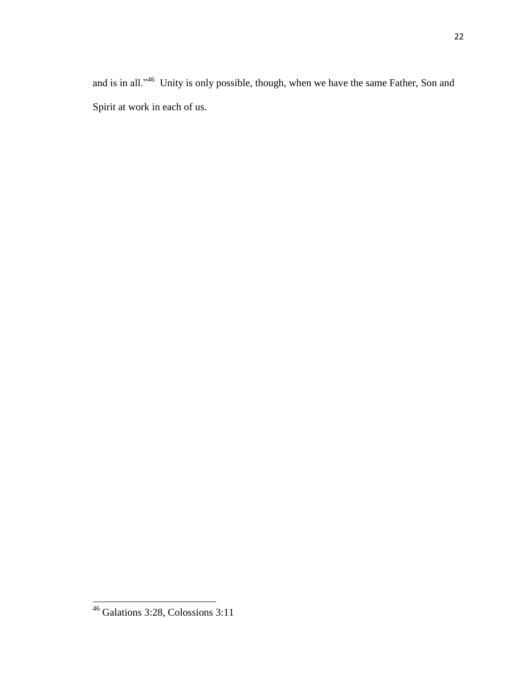and is in all."<sup>46</sup> Unity is only possible, though, when we have the same Father, Son and Spirit at work in each of us.

 $\overline{\phantom{a}}$ 

<sup>46</sup> Galations 3:28, Colossions 3:11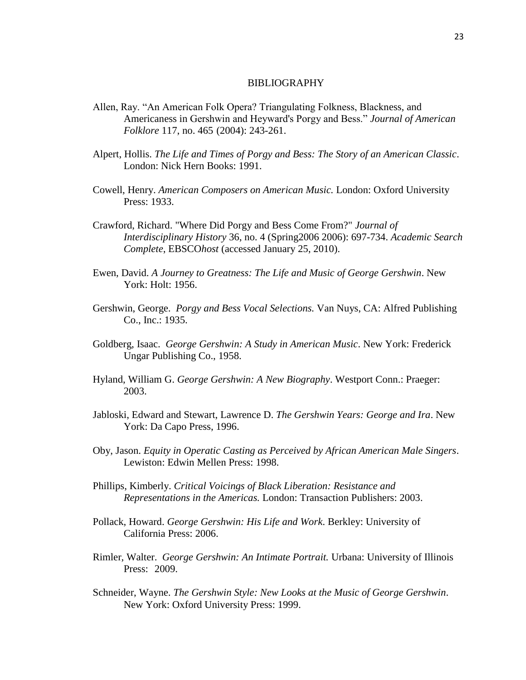#### BIBLIOGRAPHY

- Allen, Ray. "An American Folk Opera? Triangulating Folkness, Blackness, and Americaness in Gershwin and Heyward's Porgy and Bess." *Journal of American Folklore* 117, no. 465 (2004): 243-261.
- Alpert, Hollis. *The Life and Times of Porgy and Bess: The Story of an American Classic*. London: Nick Hern Books: 1991.
- Cowell, Henry. *American Composers on American Music.* London: Oxford University Press: 1933.
- Crawford, Richard. "Where Did Porgy and Bess Come From?" *Journal of Interdisciplinary History* 36, no. 4 (Spring2006 2006): 697-734. *Academic Search Complete*, EBSCO*host* (accessed January 25, 2010).
- Ewen, David. *A Journey to Greatness: The Life and Music of George Gershwin*. New York: Holt: 1956.
- Gershwin, George. *Porgy and Bess Vocal Selections.* Van Nuys, CA: Alfred Publishing Co., Inc.: 1935.
- Goldberg, Isaac. *George Gershwin: A Study in American Music*. New York: Frederick Ungar Publishing Co., 1958.
- Hyland, William G. *George Gershwin: A New Biography*. Westport Conn.: Praeger: 2003.
- Jabloski, Edward and Stewart, Lawrence D. *The Gershwin Years: George and Ira*. New York: Da Capo Press, 1996.
- Oby, Jason. *Equity in Operatic Casting as Perceived by African American Male Singers*. Lewiston: Edwin Mellen Press: 1998.
- Phillips, Kimberly. *Critical Voicings of Black Liberation: Resistance and Representations in the Americas.* London: Transaction Publishers: 2003.
- Pollack, Howard. *George Gershwin: His Life and Work*. Berkley: University of California Press: 2006.
- Rimler, Walter. *George Gershwin: An Intimate Portrait.* Urbana: University of Illinois Press: 2009.
- Schneider, Wayne. *The Gershwin Style: New Looks at the Music of George Gershwin*. New York: Oxford University Press: 1999.